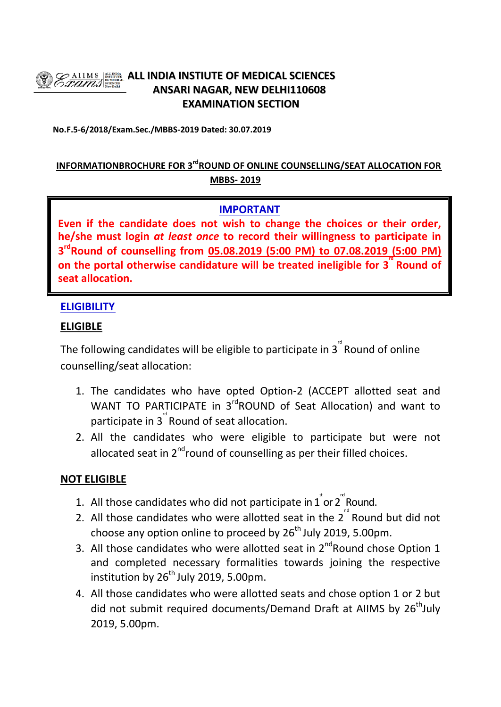

# **ALL INDIA INSTIUTE OF MEDICAL SCIENCES ANSARI NAGAR, NEW DELHI110608 EXAMINATION SECTION**

**No.F.5-6/2018/Exam.Sec./MBBS-2019 Dated: 30.07.2019**

## **INFORMATIONBROCHURE FOR 3rdROUND OF ONLINE COUNSELLING/SEAT ALLOCATION FOR MBBS- 2019**

### **IMPORTANT**

**Even if the candidate does not wish to change the choices or their order, he/she must login** *at least once* **to record their willingness to participate in 3 rdRound of counselling from 05.08.2019 (5:00 PM) to 07.08.2019 (5:00 PM)**  on the portal otherwise candidature will be treated ineligible for 3<sup>"</sup> Round of **seat allocation.**

#### **ELIGIBILITY**

#### **ELIGIBLE**

The following candidates will be eligible to participate in  $3^{^{\circ}}$  Round of online counselling/seat allocation:

- 1. The candidates who have opted Option-2 (ACCEPT allotted seat and WANT TO PARTICIPATE in 3<sup>rd</sup>ROUND of Seat Allocation) and want to participate in  $3^{''}$  Round of seat allocation.
- 2. All the candidates who were eligible to participate but were not allocated seat in  $2^{nd}$ round of counselling as per their filled choices.

#### **NOT ELIGIBLE**

- 1. All those candidates who did not participate in  $1^{\degree}$  or  $2^{\degree}$  Round.
- 2. All those candidates who were allotted seat in the  $2^{nd}$  Round but did not choose any option online to proceed by  $26<sup>th</sup>$  July 2019, 5.00pm.
- 3. All those candidates who were allotted seat in  $2^{nd}$ Round chose Option 1 and completed necessary formalities towards joining the respective institution by  $26<sup>th</sup>$  July 2019, 5.00pm.
- 4. All those candidates who were allotted seats and chose option 1 or 2 but did not submit required documents/Demand Draft at AIIMS by 26<sup>th</sup>July 2019, 5.00pm.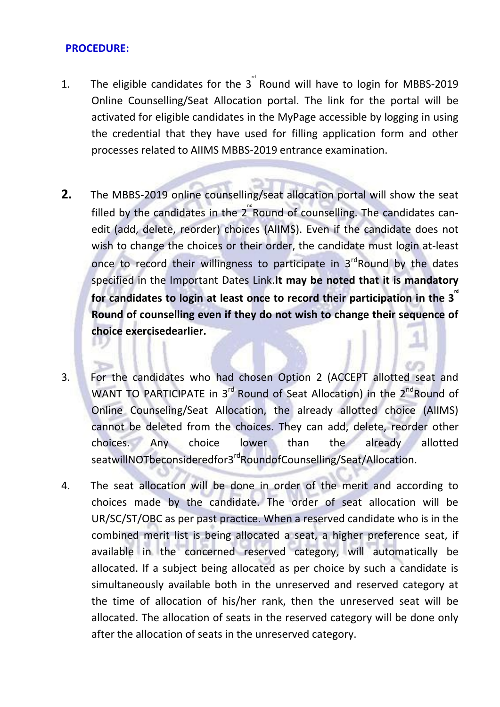#### **PROCEDURE:**

- 1. The eligible candidates for the  $3^{10}$  Round will have to login for MBBS-2019 Online Counselling/Seat Allocation portal. The link for the portal will be activated for eligible candidates in the MyPage accessible by logging in using the credential that they have used for filling application form and other processes related to AIIMS MBBS-2019 entrance examination.
- **2.** The MBBS-2019 online counselling/seat allocation portal will show the seat filled by the candidates in the 2<sup>"</sup>Round of counselling. The candidates canedit (add, delete, reorder) choices (AIIMS). Even if the candidate does not wish to change the choices or their order, the candidate must login at-least once to record their willingness to participate in  $3<sup>rd</sup>$  Round by the dates specified in the Important Dates Link.**It may be noted that it is mandatory**  for candidates to login at least once to record their participation in the 3<sup>"</sup> **Round of counselling even if they do not wish to change their sequence of choice exercisedearlier.**
- 3. For the candidates who had chosen Option 2 (ACCEPT allotted seat and WANT TO PARTICIPATE in  $3^{rd}$  Round of Seat Allocation) in the  $2^{nd}$ Round of Online Counseling/Seat Allocation, the already allotted choice (AIIMS) cannot be deleted from the choices. They can add, delete, reorder other choices. Any choice lower than the already allotted seatwillNOTbeconsideredfor3<sup>rd</sup>RoundofCounselling/Seat/Allocation.
- 4. The seat allocation will be done in order of the merit and according to choices made by the candidate. The order of seat allocation will be UR/SC/ST/OBC as per past practice. When a reserved candidate who is in the combined merit list is being allocated a seat, a higher preference seat, if available in the concerned reserved category, will automatically be allocated. If a subject being allocated as per choice by such a candidate is simultaneously available both in the unreserved and reserved category at the time of allocation of his/her rank, then the unreserved seat will be allocated. The allocation of seats in the reserved category will be done only after the allocation of seats in the unreserved category.